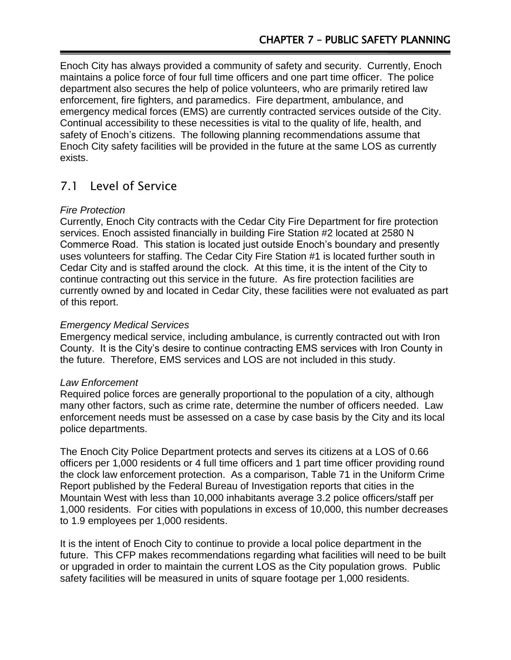Enoch City has always provided a community of safety and security. Currently, Enoch maintains a police force of four full time officers and one part time officer. The police department also secures the help of police volunteers, who are primarily retired law enforcement, fire fighters, and paramedics. Fire department, ambulance, and emergency medical forces (EMS) are currently contracted services outside of the City. Continual accessibility to these necessities is vital to the quality of life, health, and safety of Enoch's citizens. The following planning recommendations assume that Enoch City safety facilities will be provided in the future at the same LOS as currently exists.

# 7.1 Level of Service

### *Fire Protection*

Currently, Enoch City contracts with the Cedar City Fire Department for fire protection services. Enoch assisted financially in building Fire Station #2 located at 2580 N Commerce Road. This station is located just outside Enoch's boundary and presently uses volunteers for staffing. The Cedar City Fire Station #1 is located further south in Cedar City and is staffed around the clock. At this time, it is the intent of the City to continue contracting out this service in the future. As fire protection facilities are currently owned by and located in Cedar City, these facilities were not evaluated as part of this report.

### *Emergency Medical Services*

Emergency medical service, including ambulance, is currently contracted out with Iron County. It is the City's desire to continue contracting EMS services with Iron County in the future. Therefore, EMS services and LOS are not included in this study.

#### *Law Enforcement*

Required police forces are generally proportional to the population of a city, although many other factors, such as crime rate, determine the number of officers needed. Law enforcement needs must be assessed on a case by case basis by the City and its local police departments.

The Enoch City Police Department protects and serves its citizens at a LOS of 0.66 officers per 1,000 residents or 4 full time officers and 1 part time officer providing round the clock law enforcement protection. As a comparison, Table 71 in the Uniform Crime Report published by the Federal Bureau of Investigation reports that cities in the Mountain West with less than 10,000 inhabitants average 3.2 police officers/staff per 1,000 residents. For cities with populations in excess of 10,000, this number decreases to 1.9 employees per 1,000 residents.

It is the intent of Enoch City to continue to provide a local police department in the future. This CFP makes recommendations regarding what facilities will need to be built or upgraded in order to maintain the current LOS as the City population grows. Public safety facilities will be measured in units of square footage per 1,000 residents.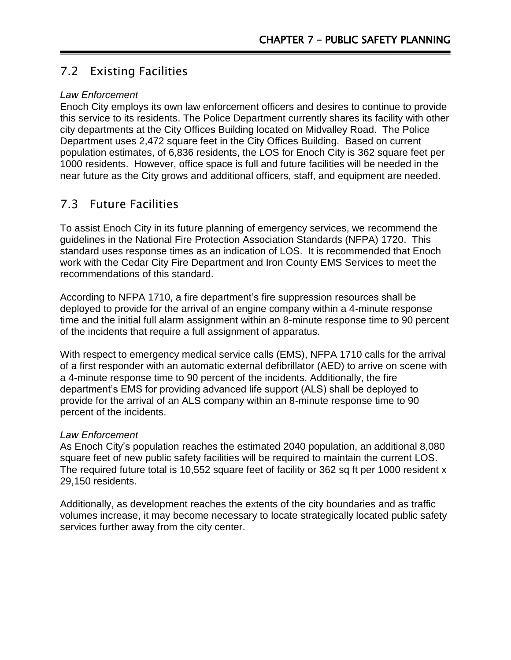# 7.2 Existing Facilities

### *Law Enforcement*

Enoch City employs its own law enforcement officers and desires to continue to provide this service to its residents. The Police Department currently shares its facility with other city departments at the City Offices Building located on Midvalley Road. The Police Department uses 2,472 square feet in the City Offices Building. Based on current population estimates, of 6,836 residents, the LOS for Enoch City is 362 square feet per 1000 residents. However, office space is full and future facilities will be needed in the near future as the City grows and additional officers, staff, and equipment are needed.

## 7.3 Future Facilities

To assist Enoch City in its future planning of emergency services, we recommend the guidelines in the National Fire Protection Association Standards (NFPA) 1720. This standard uses response times as an indication of LOS. It is recommended that Enoch work with the Cedar City Fire Department and Iron County EMS Services to meet the recommendations of this standard.

According to NFPA 1710, a fire department's fire suppression resources shall be deployed to provide for the arrival of an engine company within a 4-minute response time and the initial full alarm assignment within an 8-minute response time to 90 percent of the incidents that require a full assignment of apparatus.

With respect to emergency medical service calls (EMS), NFPA 1710 calls for the arrival of a first responder with an automatic external defibrillator (AED) to arrive on scene with a 4-minute response time to 90 percent of the incidents. Additionally, the fire department's EMS for providing advanced life support (ALS) shall be deployed to provide for the arrival of an ALS company within an 8-minute response time to 90 percent of the incidents.

### *Law Enforcement*

As Enoch City's population reaches the estimated 2040 population, an additional 8,080 square feet of new public safety facilities will be required to maintain the current LOS. The required future total is 10,552 square feet of facility or 362 sq ft per 1000 resident x 29,150 residents.

Additionally, as development reaches the extents of the city boundaries and as traffic volumes increase, it may become necessary to locate strategically located public safety services further away from the city center.